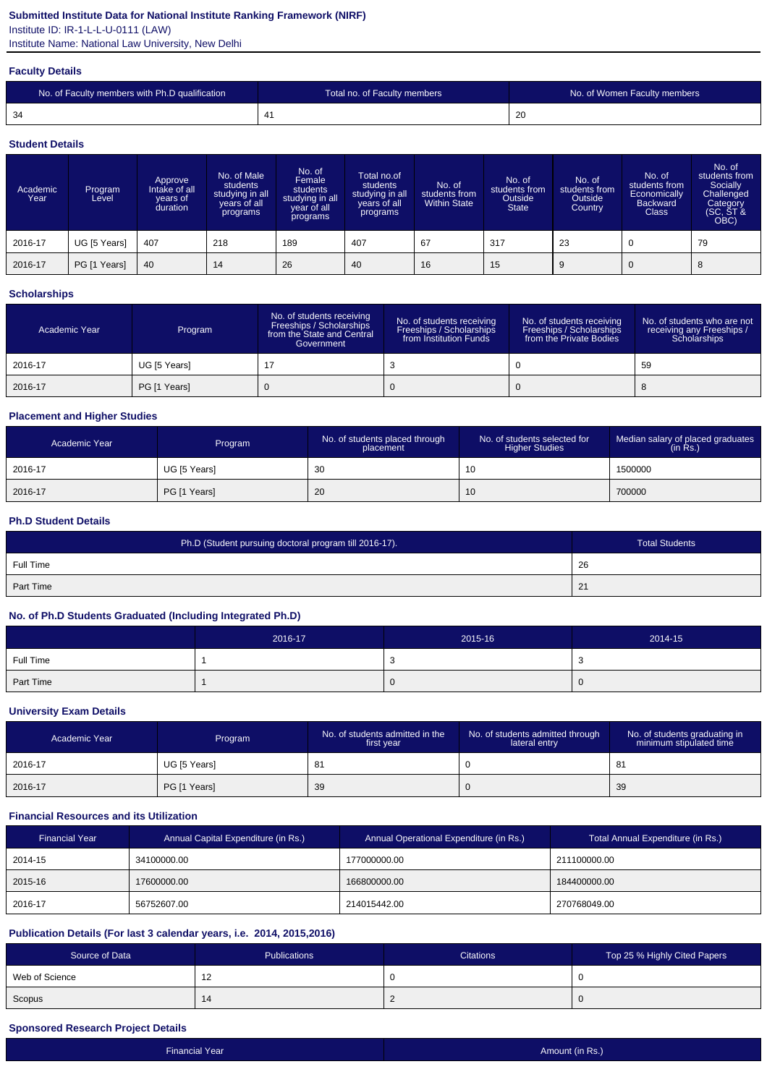## **Submitted Institute Data for National Institute Ranking Framework (NIRF)**

Institute ID: IR-1-L-L-U-0111 (LAW)

Institute Name: National Law University, New Delhi

#### **Faculty Details**

| No. of Faculty members with Ph.D qualification | Total no. of Faculty members | No. of Women Faculty members |
|------------------------------------------------|------------------------------|------------------------------|
| 34                                             |                              | -20                          |

#### **Student Details**

| Academic<br>Year | Program<br>Level | Approve<br>Intake of all<br>vears of<br>duration | No. of Male<br>students<br>studying in all<br>years of all<br>programs | No. of<br>Female<br>students<br>studying in all<br>year of all<br>programs | Total no.of<br>students<br>studying in all<br>years of all<br>programs | No. of<br>students from<br><b>Within State</b> | No. of<br>students from<br>Outside<br><b>State</b> | No. of<br>students from<br>Outside<br>Country | No. of<br>students from<br>Economically<br><b>Backward</b><br><b>Class</b> | No. of<br>students from<br>Socially<br>Challenged<br>Category<br>(SC, ST &<br>OBC) |
|------------------|------------------|--------------------------------------------------|------------------------------------------------------------------------|----------------------------------------------------------------------------|------------------------------------------------------------------------|------------------------------------------------|----------------------------------------------------|-----------------------------------------------|----------------------------------------------------------------------------|------------------------------------------------------------------------------------|
| 2016-17          | UG [5 Years]     | 407                                              | 218                                                                    | 189                                                                        | 407                                                                    | 67                                             | 317                                                | 23                                            | $\mathbf 0$                                                                | 79                                                                                 |
| 2016-17          | PG [1 Years]     | 40                                               | 14                                                                     | 26                                                                         | 40                                                                     | 16                                             | 15                                                 | 9                                             | $\overline{0}$                                                             | 8                                                                                  |

### **Scholarships**

| Academic Year | Program      | No. of students receiving<br>Freeships / Scholarships<br>from the State and Central<br>Government | No. of students receiving<br>Freeships / Scholarships<br>from Institution Funds | No. of students receiving<br>Freeships / Scholarships<br>from the Private Bodies | No. of students who are not<br>receiving any Freeships /<br>Scholarships |
|---------------|--------------|---------------------------------------------------------------------------------------------------|---------------------------------------------------------------------------------|----------------------------------------------------------------------------------|--------------------------------------------------------------------------|
| 2016-17       | UG [5 Years] |                                                                                                   |                                                                                 |                                                                                  | 59                                                                       |
| 2016-17       | PG [1 Years] |                                                                                                   |                                                                                 |                                                                                  |                                                                          |

## **Placement and Higher Studies**

| Academic Year | Program      | No. of students placed through<br>placement | No. of students selected for<br><b>Higher Studies</b> | Median salary of placed graduates<br>(in Rs.) |
|---------------|--------------|---------------------------------------------|-------------------------------------------------------|-----------------------------------------------|
| 2016-17       | UG [5 Years] | 30                                          | 10                                                    | 1500000                                       |
| 2016-17       | PG [1 Years] | 20                                          | 10                                                    | 700000                                        |

#### **Ph.D Student Details**

| Ph.D (Student pursuing doctoral program till 2016-17). | <b>Total Students</b> |
|--------------------------------------------------------|-----------------------|
| Full Time                                              | 26                    |
| Part Time                                              | 21                    |

### **No. of Ph.D Students Graduated (Including Integrated Ph.D)**

|           | 2016-17 | 2015-16 | 2014-15 |
|-----------|---------|---------|---------|
| Full Time |         |         | ັບ      |
| Part Time |         |         | v       |

#### **University Exam Details**

| Academic Year | Program      | No. of students admitted in the<br>first year | No. of students admitted through<br>lateral entry | No. of students graduating in<br>minimum stipulated time |
|---------------|--------------|-----------------------------------------------|---------------------------------------------------|----------------------------------------------------------|
| 2016-17       | UG [5 Years] | 8                                             |                                                   | 81                                                       |
| 2016-17       | PG [1 Years] | -39                                           |                                                   | 39                                                       |

## **Financial Resources and its Utilization**

| <b>Financial Year</b> | Annual Capital Expenditure (in Rs.) | Annual Operational Expenditure (in Rs.) | Total Annual Expenditure (in Rs.) |
|-----------------------|-------------------------------------|-----------------------------------------|-----------------------------------|
| 2014-15               | 34100000.00                         | 177000000.00                            | 211100000.00                      |
| 2015-16               | 17600000.00                         | 166800000.00                            | 184400000.00                      |
| 2016-17               | 56752607.00                         | 214015442.00                            | 270768049.00                      |

## **Publication Details (For last 3 calendar years, i.e. 2014, 2015,2016)**

| Source of Data | Publications          | <b>Citations</b> | Top 25 % Highly Cited Papers |
|----------------|-----------------------|------------------|------------------------------|
| Web of Science | $\overline{A}$<br>. L |                  |                              |
| Scopus         | 14                    |                  |                              |

## **Sponsored Research Project Details**

| <b>Financial Year</b> | Amount (in Rs.) |
|-----------------------|-----------------|
|                       |                 |